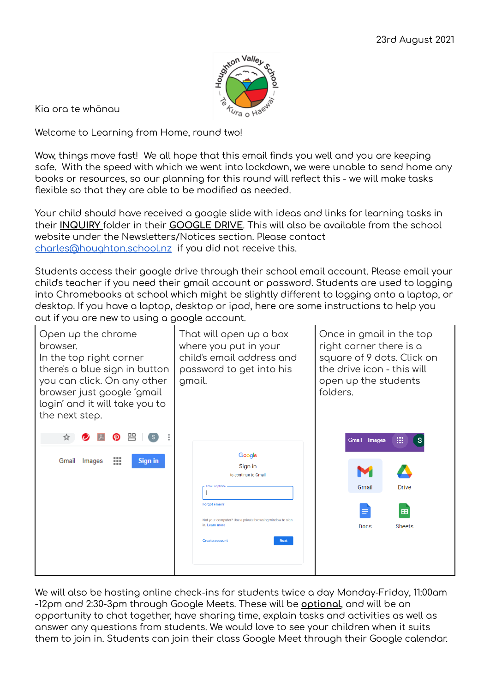

Kia ora te whānau

Welcome to Learning from Home, round two!

Wow, things move fast! We all hope that this email finds you well and you are keeping safe. With the speed with which we went into lockdown, we were unable to send home any books or resources, so our planning for this round will reflect this - we will make tasks flexible so that they are able to be modified as needed.

Your child should have received a google slide with ideas and links for learning tasks in their **INQUIRY** folder in their **GOOGLE DRIVE**. This will also be available from the school website under the Newsletters/Notices section. Please contact [charles@houghton.school.nz](mailto:charles@houghton.school.nz) if you did not receive this.

Students access their google drive through their school email account. Please email your child's teacher if you need their gmail account or password. Students are used to logging into Chromebooks at school which might be slightly different to logging onto a laptop, or desktop. If you have a laptop, desktop or ipad, here are some instructions to help you out if you are new to using a google account.

| Open up the chrome<br>browser.<br>In the top right corner<br>there's a blue sign in button<br>you can click. On any other<br>browser just google 'gmail<br>login' and it will take you to<br>the next step. | That will open up a box<br>where you put in your<br>child's email address and<br>password to get into his<br>gmail.                                                                                       | Once in gmail in the top<br>right corner there is a<br>square of 9 dots. Click on<br>the drive icon - this will<br>open up the students<br>folders. |
|-------------------------------------------------------------------------------------------------------------------------------------------------------------------------------------------------------------|-----------------------------------------------------------------------------------------------------------------------------------------------------------------------------------------------------------|-----------------------------------------------------------------------------------------------------------------------------------------------------|
| 臦<br>Gmail<br>Images<br>Sign in                                                                                                                                                                             | Google<br>Sign in<br>to continue to Gmail<br>Email or phone<br><b>Forgot email?</b><br>Not your computer? Use a private browsing window to sign<br>in. Learn more<br><b>Create account</b><br><b>Next</b> | :<br>s<br>Gmail<br><b>Images</b><br>Gmail<br><b>Drive</b><br><b>Sheets</b><br>Docs                                                                  |

We will also be hosting online check-ins for students twice a day Monday-Friday, 11:00am -12pm and 2:30-3pm through Google Meets. These will be **optional**, and will be an opportunity to chat together, have sharing time, explain tasks and activities as well as answer any questions from students. We would love to see your children when it suits them to join in. Students can join their class Google Meet through their Google calendar.